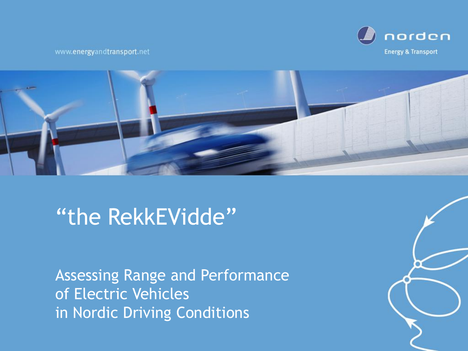



### "the RekkEVidde"

**Assessing Range and Performance** of Electric Vehicles in Nordic Driving Conditions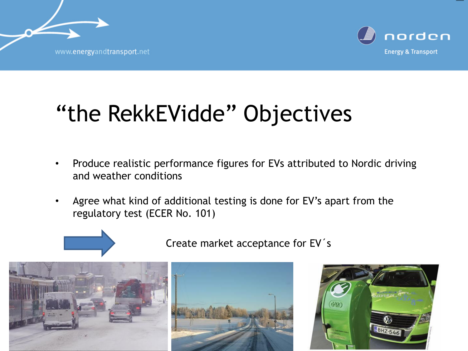

# "the RekkEVidde" Objectives

- Produce realistic performance figures for EVs attributed to Nordic driving and weather conditions
- Agree what kind of additional testing is done for EV's apart from the regulatory test (ECER No. 101)



Create market acceptance for EV's



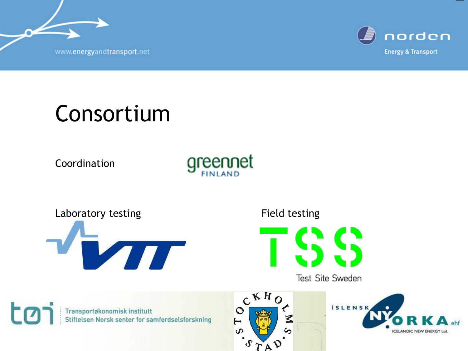

## Consortium

Coordination







Test Site Sweden





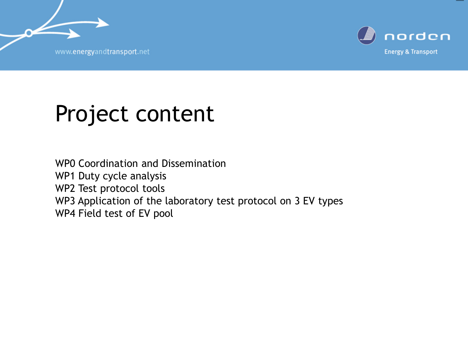n



#### Project content

WP0 Coordination and Dissemination WP1 Duty cycle analysis WP2 Test protocol tools WP3 Application of the laboratory test protocol on 3 EV types WP4 Field test of EV pool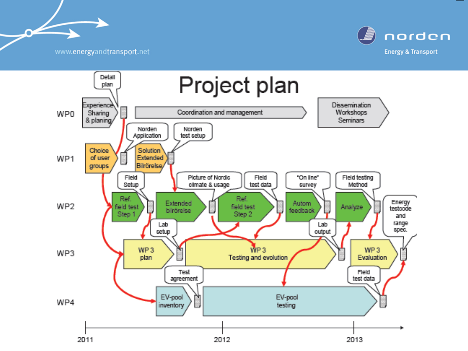$\sim$ 



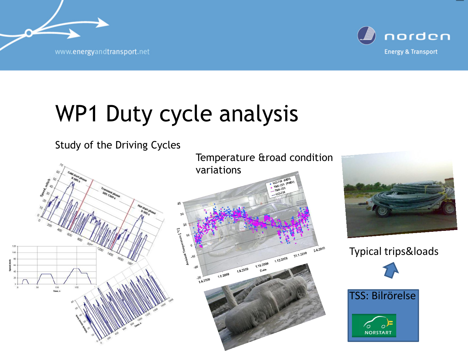

## WP1 Duty cycle analysis





Typical trips&loads



TSS: Bilrörelse

**NORSTART**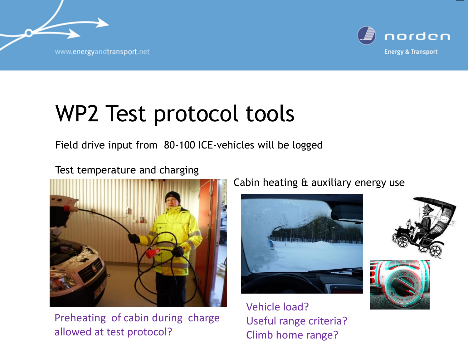

## WP2 Test protocol tools

Field drive input from 80-100 ICE-vehicles will be logged

#### Test temperature and charging



Preheating of cabin during charge allowed at test protocol?

Cabin heating & auxiliary energy use



Vehicle load? Useful range criteria? Climb home range?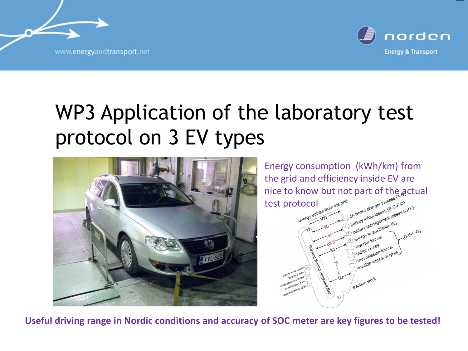

#### WP3 Application of the laboratory test protocol on 3 EV types



Energy consumption (kWh/km) from the grid and efficiency inside EV are nice to know but not part of the actual test protocol



**Useful driving range in Nordic conditions and accuracy of SOC meter are key figures to be tested!**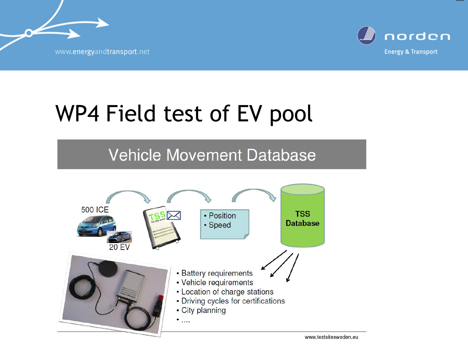

# WP4 Field test of EV pool

#### **Vehicle Movement Database**

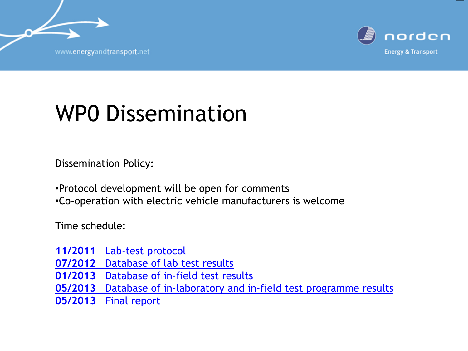

### WP0 Dissemination

Dissemination Policy:

•Protocol development will be open for comments

•Co-operation with electric vehicle manufacturers is welcome

Time schedule:

**[11/2011](http://www.greennetfinland.fi/research/index.php?title=Special:Upload&wpDestFile=D2-_Lab-test_protocol)** [Lab-test protocol](http://www.greennetfinland.fi/research/index.php?title=Special:Upload&wpDestFile=D2-_Lab-test_protocol) **[07/2012](http://www.greennetfinland.fi/research/index.php?title=Special:Upload&wpDestFile=D5-_Database_of_lab_test_results)** [Database of lab test results](http://www.greennetfinland.fi/research/index.php?title=Special:Upload&wpDestFile=D5-_Database_of_lab_test_results) **[01/2013](http://www.greennetfinland.fi/research/index.php?title=Special:Upload&wpDestFile=D6-_Database_of_in-field_test_results)** [Database of in-field test results](http://www.greennetfinland.fi/research/index.php?title=Special:Upload&wpDestFile=D6-_Database_of_in-field_test_results) **[05/2013](http://www.greennetfinland.fi/research/index.php?title=Special:Upload&wpDestFile=D8-_Database_of_in-laboratory_and_in-field_test_programme_results)** [Database of in-laboratory and in-field test programme](http://www.greennetfinland.fi/research/index.php?title=Special:Upload&wpDestFile=D8-_Database_of_in-laboratory_and_in-field_test_programme_results) [results](http://www.greennetfinland.fi/research/index.php?title=Special:Upload&wpDestFile=D8-_Database_of_in-laboratory_and_in-field_test_programme_results) **[05/2013](http://www.greennetfinland.fi/research/index.php?title=Special:Upload&wpDestFile=D9-_Final_report)** [Final report](http://www.greennetfinland.fi/research/index.php?title=Special:Upload&wpDestFile=D9-_Final_report)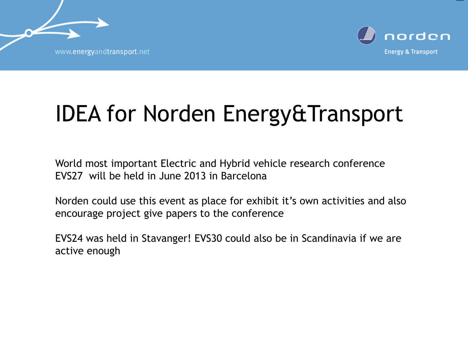n



# IDEA for Norden Energy&Transport

World most important Electric and Hybrid vehicle research conference EVS27 will be held in June 2013 in Barcelona

Norden could use this event as place for exhibit it's own activities and also encourage project give papers to the conference

EVS24 was held in Stavanger! EVS30 could also be in Scandinavia if we are active enough